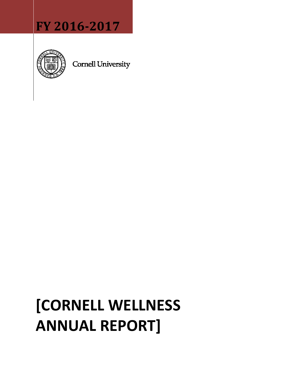## **FY 2016-2017**



**Cornell University** 

# **[CORNELL WELLNESS ANNUAL REPORT]**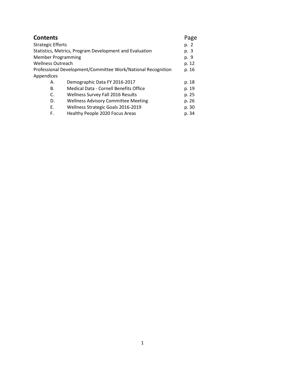| <b>Contents</b>           |                                                              | Page  |
|---------------------------|--------------------------------------------------------------|-------|
| <b>Strategic Efforts</b>  |                                                              | p. 2  |
|                           | Statistics, Metrics, Program Development and Evaluation      | p. 3  |
| <b>Member Programming</b> |                                                              | p. 9  |
| <b>Wellness Outreach</b>  |                                                              | p. 12 |
|                           | Professional Development/Committee Work/National Recognition | p. 16 |
| Appendices                |                                                              |       |
| А.                        | Demographic Data FY 2016-2017                                | p. 18 |
| <b>B.</b>                 | <b>Medical Data - Cornell Benefits Office</b>                | p. 19 |
| C.                        | <b>Wellness Survey Fall 2016 Results</b>                     | p. 25 |
| D.                        | <b>Wellness Advisory Committee Meeting</b>                   | p. 26 |
| Ε.                        | Wellness Strategic Goals 2016-2019                           | p. 30 |
| F.                        | Healthy People 2020 Focus Areas                              | p. 34 |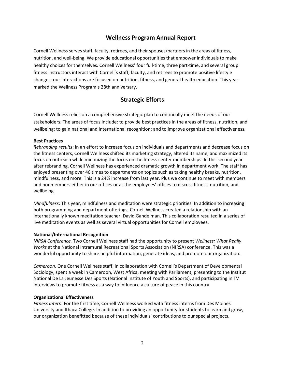## **Wellness Program Annual Report**

Cornell Wellness serves staff, faculty, retirees, and their spouses/partners in the areas of fitness, nutrition, and well-being. We provide educational opportunities that empower individuals to make healthy choices for themselves. Cornell Wellness' four full-time, three part-time, and several group fitness instructors interact with Cornell's staff, faculty, and retirees to promote positive lifestyle changes; our interactions are focused on nutrition, fitness, and general health education. This year marked the Wellness Program's 28th anniversary.

## **Strategic Efforts**

Cornell Wellness relies on a comprehensive strategic plan to continually meet the needs of our stakeholders. The areas of focus include: to provide best practices in the areas of fitness, nutrition, and wellbeing; to gain national and international recognition; and to improve organizational effectiveness.

#### **Best Practices**

*Rebranding results*: In an effort to increase focus on individuals and departments and decrease focus on the fitness centers, Cornell Wellness shifted its marketing strategy, altered its name, and maximized its focus on outreach while minimizing the focus on the fitness center memberships. In this second year after rebranding, Cornell Wellness has experienced dramatic growth in department work. The staff has enjoyed presenting over 46 times to departments on topics such as taking healthy breaks, nutrition, mindfulness, and more. This is a 24% increase from last year. Plus we continue to meet with members and nonmembers either in our offices or at the employees' offices to discuss fitness, nutrition, and wellbeing.

*Mindfulness*: This year, mindfulness and meditation were strategic priorities. In addition to increasing both programming and department offerings, Cornell Wellness created a relationship with an internationally known meditation teacher, David Gandelman. This collaboration resulted in a series of live meditation events as well as several virtual opportunities for Cornell employees.

#### **National/International Recognition**

*NIRSA Conference.* Two Cornell Wellness staff had the opportunity to present *Wellness: What Really Works* at the National Intramural Recreational Sports Association (NIRSA) conference. This was a wonderful opportunity to share helpful information, generate ideas, and promote our organization.

*Cameroon*. One Cornell Wellness staff, in collaboration with Cornell's Department of Developmental Sociology, spent a week in Cameroon, West Africa, meeting with Parliament, presenting to the Institut National De La Jeunesse Des Sports (National Institute of Youth and Sports), and participating in TV interviews to promote fitness as a way to influence a culture of peace in this country.

#### **Organizational Effectiveness**

*Fitness Intern.* For the first time, Cornell Wellness worked with fitness interns from Des Moines University and Ithaca College. In addition to providing an opportunity for students to learn and grow, our organization benefitted because of these individuals' contributions to our special projects.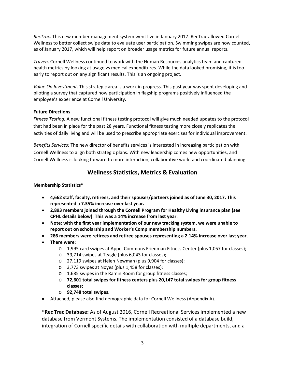*RecTrac*. This new member management system went live in January 2017. RecTrac allowed Cornell Wellness to better collect swipe data to evaluate user participation. Swimming swipes are now counted, as of January 2017, which will help report on broader usage metrics for future annual reports.

*Truven*. Cornell Wellness continued to work with the Human Resources analytics team and captured health metrics by looking at usage vs medical expenditures. While the data looked promising, it is too early to report out on any significant results. This is an ongoing project.

*Value On Investment*. This strategic area is a work in progress. This past year was spent developing and piloting a survey that captured how participation in flagship programs positively influenced the employee's experience at Cornell University.

#### **Future Directions**

*Fitness Testing:* A new functional fitness testing protocol will give much needed updates to the protocol that had been in place for the past 28 years. Functional fitness testing more closely replicates the activities of daily living and will be used to prescribe appropriate exercises for individual improvement.

*Benefits Services:* The new director of benefits services is interested in increasing participation with Cornell Wellness to align both strategic plans. With new leadership comes new opportunities, and Cornell Wellness is looking forward to more interaction, collaborative work, and coordinated planning.

## **Wellness Statistics, Metrics & Evaluation**

#### **Membership Statistics\***

- **4,662 staff, faculty, retirees, and their spouses/partners joined as of June 30, 2017. This represented a 7.35% increase over last year.**
- **2,893 members joined through the Cornell Program for Healthy Living insurance plan (see CPHL details below). This was a 14% increase from last year.**
- **Note: with the first year implementation of our new tracking system, we were unable to report out on scholarship and Worker's Comp membership numbers.**
- **286 members were retirees and retiree spouses representing a 2.14% increase over last year.**
- **There were:**
	- o 1,995 card swipes at Appel Commons Friedman Fitness Center (plus 1,057 for classes);
	- o 39,714 swipes at Teagle (plus 6,043 for classes);
	- o 27,119 swipes at Helen Newman (plus 9,904 for classes);
	- o 3,773 swipes at Noyes (plus 1,458 for classes);
	- o 1,685 swipes in the Ramin Room for group fitness classes;
	- o **72,601 total swipes for fitness centers plus 20,147 total swipes for group fitness classes;**
	- o **92,748 total swipes.**
- Attached, please also find demographic data for Cornell Wellness (Appendix A).

\***Rec Trac Database:** As of August 2016, Cornell Recreational Services implemented a new database from Vermont Systems. The implementation consisted of a database build, integration of Cornell specific details with collaboration with multiple departments, and a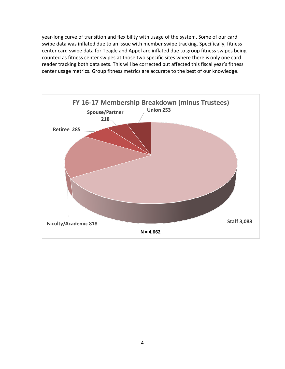year-long curve of transition and flexibility with usage of the system. Some of our card swipe data was inflated due to an issue with member swipe tracking. Specifically, fitness center card swipe data for Teagle and Appel are inflated due to group fitness swipes being counted as fitness center swipes at those two specific sites where there is only one card reader tracking both data sets. This will be corrected but affected this fiscal year's fitness center usage metrics. Group fitness metrics are accurate to the best of our knowledge.

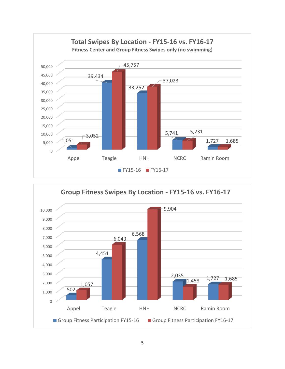

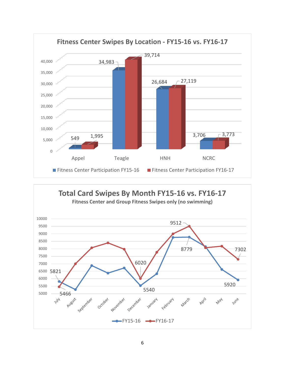

**Total Card Swipes By Month FY15-16 vs. FY16-17 Fitness Center and Group Fitness Swipes only (no swimming)** 10000 9512 9500 9000 8500 8000 8779 7302 7500 6020 7000 6500 5821 6000 5920 5500 5540 5000 **5466**<br>July 2005 November September October December February April March **May** January June  $-FY15-16$   $-$ FY16-17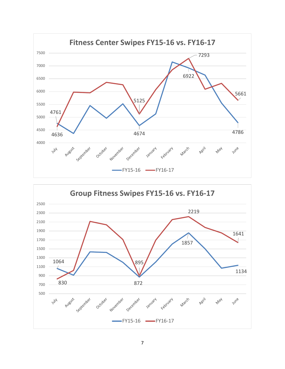

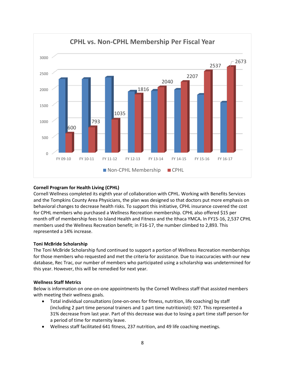

#### **Cornell Program for Health Living (CPHL)**

Cornell Wellness completed its eighth year of collaboration with CPHL. Working with Benefits Services and the Tompkins County Area Physicians, the plan was designed so that doctors put more emphasis on behavioral changes to decrease health risks. To support this initiative, CPHL insurance covered the cost for CPHL members who purchased a Wellness Recreation membership. CPHL also offered \$15 per month off of membership fees to Island Health and Fitness and the Ithaca YMCA**.** In FY15-16, 2,537 CPHL members used the Wellness Recreation benefit; in F16-17, the number climbed to 2,893. This represented a 14% increase.

#### **Toni McBride Scholarship**

The Toni McBride Scholarship fund continued to support a portion of Wellness Recreation memberships for those members who requested and met the criteria for assistance. Due to inaccuracies with our new database, Rec Trac, our number of members who participated using a scholarship was undetermined for this year. However, this will be remedied for next year.

#### **Wellness Staff Metrics**

Below is information on one-on-one appointments by the Cornell Wellness staff that assisted members with meeting their wellness goals.

- Total individual consultations (one-on-ones for fitness, nutrition, life coaching) by staff (including 2 part time personal trainers and 1 part time nutritionist): 927. This represented a 31% decrease from last year. Part of this decrease was due to losing a part time staff person for a period of time for maternity leave.
- Wellness staff facilitated 641 fitness, 237 nutrition, and 49 life coaching meetings.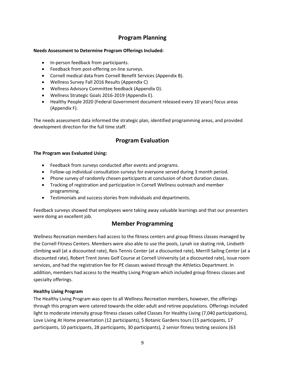## **Program Planning**

#### **Needs Assessment to Determine Program Offerings Included:**

- In-person feedback from participants.
- Feedback from post-offering on-line surveys.
- Cornell medical data from Cornell Benefit Services (Appendix B).
- Wellness Survey Fall 2016 Results (Appendix C)
- Wellness Advisory Committee feedback (Appendix D).
- Wellness Strategic Goals 2016-2019 (Appendix E).
- Healthy People 2020 (Federal Government document released every 10 years) focus areas (Appendix F).

The needs assessment data informed the strategic plan, identified programming areas, and provided development direction for the full time staff.

## **Program Evaluation**

#### **The Program was Evaluated Using:**

- Feedback from surveys conducted after events and programs.
- Follow-up individual consultation surveys for everyone served during 3 month period.
- Phone survey of randomly chosen participants at conclusion of short duration classes.
- Tracking of registration and participation in Cornell Wellness outreach and member programming.
- Testimonials and success stories from individuals and departments.

Feedback surveys showed that employees were taking away valuable learnings and that our presenters were doing an excellent job.

## **Member Programming**

Wellness Recreation members had access to the fitness centers and group fitness classes managed by the Cornell Fitness Centers. Members were also able to use the pools, Lynah ice skating rink, Lindseth climbing wall (at a discounted rate), Reis Tennis Center (at a discounted rate), Merrill Sailing Center (at a discounted rate), Robert Trent Jones Golf Course at Cornell University (at a discounted rate), issue room services, and had the registration fee for PE classes waived through the Athletics Department. In addition, members had access to the Healthy Living Program which included group fitness classes and specialty offerings.

#### **Healthy Living Program**

The Healthy Living Program was open to all Wellness Recreation members, however, the offerings through this program were catered towards the older adult and retiree populations. Offerings included light to moderate intensity group fitness classes called Classes For Healthy Living (7,040 participations), Love Living At Home presentation (12 participants), 5 Botanic Gardens tours (15 participants, 17 participants, 10 participants, 28 participants, 30 participants), 2 senior fitness testing sessions (63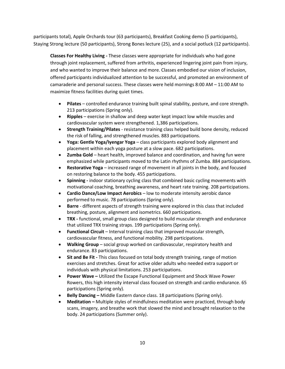participants total), Apple Orchards tour (63 participants), Breakfast Cooking demo (5 participants), Staying Strong lecture (50 participants), Strong Bones lecture (25), and a social potluck (12 participants).

**Classes For Healthy Living -** These classes were appropriate for individuals who had gone through joint replacement, suffered from arthritis, experienced lingering joint pain from injury, and who wanted to improve their balance and more. Classes embodied our [vision of inclusion,](http://wellness.cornell.edu/inclusion_statement.php) offered participants individualized attention to be successful, and promoted an environment of camaraderie and personal success. These classes were held mornings 8:00 AM – 11:00 AM to maximize fitness facilities during quiet times.

- **Pilates**  controlled endurance training built spinal stability, posture, and core strength. 213 participations (Spring only).
- **Ripples**  exercise in shallow and deep water kept impact low while muscles and cardiovascular system were strengthened. 1,386 participations.
- **Strength Training/Pilates** resistance training class helped build bone density, reduced the risk of falling, and strengthened muscles. 883 participations.
- **Yoga: Gentle Yoga/Iyengar Yoga**  class participants explored body alignment and placement within each yoga posture at a slow pace. 682 participations.
- **Zumba Gold**  heart health, improved balance and coordination, and having fun were emphasized while participants moved to the Latin rhythms of Zumba. 884 participations.
- **Restorative Yoga**  increased range of movement in all joints in the body, and focused on restoring balance to the body. 455 participations.
- **Spinning -** indoor stationary cycling class that combined basic cycling movements with motivational coaching, breathing awareness, and heart rate training. 208 participations.
- **Cardio Dance/Low Impact Aerobics**  low to moderate intensity aerobic dance performed to music. 78 participations (Spring only).
- **Barre** different aspects of strength training were explored in this class that included breathing, posture, alignment and isometrics. 660 participations.
- **TRX -** functional, small group class designed to build muscular strength and endurance that utilized TRX training straps. 199 participations (Spring only).
- **Functional Circuit**  Interval training class that improved muscular strength, cardiovascular fitness, and functional mobility. 298 participations.
- **Walking Group**  social group worked on cardiovascular, respiratory health and endurance. 83 participations.
- **Sit and Be Fit -** This class focused on total body strength training, range of motion exercises and stretches. Great for active older adults who needed extra support or individuals with physical limitations. 253 participations.
- **Power Wave –** Utilized the Escape Functional Equipment and Shock Wave Power Rowers, this high intensity interval class focused on strength and cardio endurance. 65 participations (Spring only).
- **Belly Dancing –** Middle Eastern dance class. 18 participations (Spring only).
- **Meditation –** Multiple styles of mindfulness meditation were practiced, through body scans, imagery, and breathe work that slowed the mind and brought relaxation to the body. 24 participations (Summer only).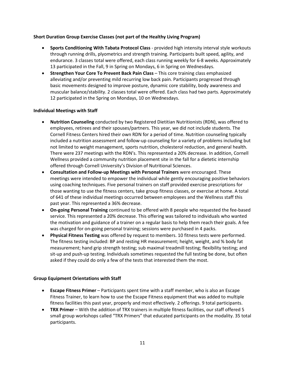#### **Short Duration Group Exercise Classes (not part of the Healthy Living Program)**

- **Sports Conditioning With Tabata Protocol Class** provided high intensity interval style workouts through running drills, plyometrics and strength training. Participants built speed, agility, and endurance. 3 classes total were offered, each class running weekly for 6-8 weeks. Approximately 13 participated in the Fall, 9 in Spring on Mondays, 6 in Spring on Wednesdays.
- **Strengthen Your Core To Prevent Back Pain Class** This core training class emphasized alleviating and/or preventing mild recurring low back pain. Participants progressed through basic movements designed to improve posture, dynamic core stability, body awareness and muscular balance/stability. 2 classes total were offered. Each class had two parts. Approximately 12 participated in the Spring on Mondays, 10 on Wednesdays.

#### **Individual Meetings with Staff**

- **Nutrition Counseling** conducted by two Registered Dietitian Nutritionists (RDN), was offered to employees, retirees and their spouses/partners. This year, we did not include students. The Cornell Fitness Centers hired their own RDN for a period of time. Nutrition counseling typically included a nutrition assessment and follow-up counseling for a variety of problems including but not limited to weight management, sports nutrition, cholesterol reduction, and general health. There were 237 meetings with the RDN's. This represented a 20% decrease. In addition, Cornell Wellness provided a community nutrition placement site in the fall for a dietetic internship offered through Cornell University's Division of Nutritional Sciences.
- **Consultation and Follow-up Meetings with Personal Trainers** were encouraged. These meetings were intended to empower the individual while gently encouraging positive behaviors using coaching techniques. Five personal trainers on staff provided exercise prescriptions for those wanting to use the fitness centers, take group fitness classes, or exercise at home. A total of 641 of these individual meetings occurred between employees and the Wellness staff this past year. This represented a 36% decrease.
- **On-going Personal Training** continued to be offered with 8 people who requested the fee-based service. This represented a 20% decrease. This offering was tailored to individuals who wanted the motivation and guidance of a trainer on a regular basis to help them reach their goals. A fee was charged for on-going personal training; sessions were purchased in 4 packs.
- **Physical Fitness Testing** was offered by request to members. 10 fitness tests were performed. The fitness testing included: BP and resting HR measurement; height, weight, and % body fat measurement; hand grip strength testing; sub maximal treadmill testing; flexibility testing; and sit-up and push-up testing. Individuals sometimes requested the full testing be done, but often asked if they could do only a few of the tests that interested them the most.

#### **Group Equipment Orientations with Staff**

- **Escape Fitness Primer** Participants spent time with a staff member, who is also an Escape Fitness Trainer, to learn how to use the Escape Fitness equipment that was added to multiple fitness facilities this past year, properly and most effectively. 2 offerings. 9 total participants.
- **TRX Primer** With the addition of TRX trainers in multiple fitness facilities, our staff offered 5 small group workshops called "TRX Primers" that educated participants on the modality. 35 total participants.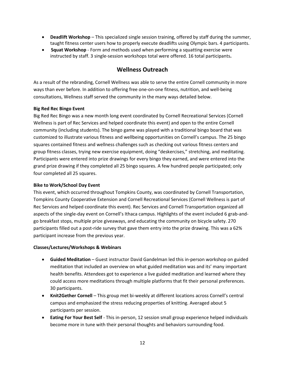- **Deadlift Workshop** This specialized single session training, offered by staff during the summer, taught fitness center users how to properly execute deadlifts using Olympic bars. 4 participants.
- **Squat Workshop**  Form and methods used when performing a squatting exercise were instructed by staff. 3 single-session workshops total were offered. 16 total participants**.**

## **Wellness Outreach**

As a result of the rebranding, Cornell Wellness was able to serve the entire Cornell community in more ways than ever before. In addition to offering free one-on-one fitness, nutrition, and well-being consultations, Wellness staff served the community in the many ways detailed below.

#### **Big Red Rec Bingo Event**

Big Red Rec Bingo was a new month long event coordinated by Cornell Recreational Services (Cornell Wellness is part of Rec Services and helped coordinate this event) and open to the entire Cornell community (including students). The bingo game was played with a traditional bingo board that was customized to illustrate various fitness and wellbeing opportunities on Cornell's campus. The 25 bingo squares contained fitness and wellness challenges such as checking out various fitness centers and group fitness classes, trying new exercise equipment, doing "deskercises," stretching, and meditating. Participants were entered into prize drawings for every bingo they earned, and were entered into the grand prize drawing if they completed all 25 bingo squares. A few hundred people participated; only four completed all 25 squares.

#### **Bike to Work/School Day Event**

This event, which occurred throughout Tompkins County, was coordinated by Cornell Transportation, Tompkins County Cooperative Extension and Cornell Recreational Services (Cornell Wellness is part of Rec Services and helped coordinate this event). Rec Services and Cornell Transportation organized all aspects of the single-day event on Cornell's Ithaca campus. Highlights of the event included 6 grab-andgo breakfast stops, multiple prize giveaways, and educating the community on bicycle safety. 270 participants filled out a post-ride survey that gave them entry into the prize drawing. This was a 62% participant increase from the previous year.

#### **Classes/Lectures/Workshops & Webinars**

- **Guided Meditation** Guest instructor David Gandelman led this in-person workshop on guided meditation that included an overview on what guided meditation was and its' many important health benefits. Attendees got to experience a live guided meditation and learned where they could access more meditations through multiple platforms that fit their personal preferences. 30 participants.
- **Knit2Gether Cornell** This group met bi-weekly at different locations across Cornell's central campus and emphasized the stress reducing properties of knitting. Averaged about 5 participants per session.
- **Eating For Your Best Self** This in-person, 12 session small group experience helped individuals become more in tune with their personal thoughts and behaviors surrounding food.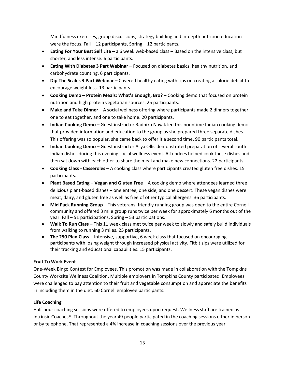Mindfulness exercises, group discussions, strategy building and in-depth nutrition education were the focus. Fall – 12 participants, Spring – 12 participants.

- **Eating For Your Best Self Lite** a 6 week web-based class Based on the intensive class, but shorter, and less intense. 6 participants.
- **Eating With Diabetes 3 Part Webinar**  Focused on diabetes basics, healthy nutrition, and carbohydrate counting. 6 participants.
- **Dip The Scales 3 Part Webinar** Covered healthy eating with tips on creating a calorie deficit to encourage weight loss. 13 participants.
- **Cooking Demo – Protein Meals: What's Enough, Bro?** Cooking demo that focused on protein nutrition and high protein vegetarian sources. 25 participants.
- **Make and Take Dinner** A social wellness offering where participants made 2 dinners together; one to eat together, and one to take home. 20 participants.
- **Indian Cooking Demo** Guest instructor Radhika Nayak led this noontime Indian cooking demo that provided information and education to the group as she prepared three separate dishes. This offering was so popular, she came back to offer it a second time. 90 participants total.
- **Indian Cooking Demo** Guest instructor Asya Ollis demonstrated preparation of several south Indian dishes during this evening social wellness event. Attendees helped cook these dishes and then sat down with each other to share the meal and make new connections. 22 participants.
- **Cooking Class - Casseroles** A cooking class where participants created gluten free dishes. 15 participants.
- **Plant Based Eating – Vegan and Gluten Free** A cooking demo where attendees learned three delicious plant-based dishes – one entree, one side, and one dessert. These vegan dishes were meat, dairy, and gluten free as well as free of other typical allergens. 36 participants.
- **Mid Pack Running Group**  This veterans' friendly running group was open to the entire Cornell community and offered 3 mile group runs twice per week for approximately 6 months out of the year. Fall – 51 participations, Spring – 53 participations.
- **Walk To Run Class –** This 11 week class met twice per week to slowly and safely build individuals from walking to running 3 miles. 25 participants.
- **The 250 Plan Class** Intensive, supportive, 6 week class that focused on encouraging participants with losing weight through increased physical activity. Fitbit zips were utilized for their tracking and educational capabilities. 15 participants.

#### **Fruit To Work Event**

One-Week Bingo Contest for Employees. This promotion was made in collaboration with the Tompkins County Worksite Wellness Coalition. Multiple employers in Tompkins County participated. Employees were challenged to pay attention to their fruit and vegetable consumption and appreciate the benefits in including them in the diet. 60 Cornell employee participants.

#### **Life Coaching**

Half-hour coaching sessions were offered to employees upon request. Wellness staff are trained as Intrinsic Coaches®. Throughout the year 49 people participated in the coaching sessions either in person or by telephone. That represented a 4% increase in coaching sessions over the previous year.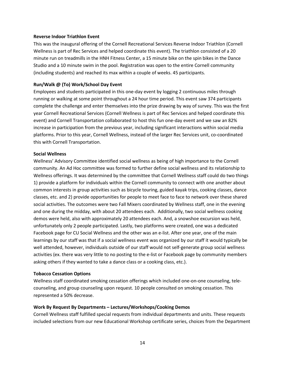#### **Reverse Indoor Triathlon Event**

This was the inaugural offering of the Cornell Recreational Services Reverse Indoor Triathlon (Cornell Wellness is part of Rec Services and helped coordinate this event). The triathlon consisted of a 20 minute run on treadmills in the HNH Fitness Center, a 15 minute bike on the spin bikes in the Dance Studio and a 10 minute swim in the pool. Registration was open to the entire Cornell community (including students) and reached its max within a couple of weeks. 45 participants.

#### **Run/Walk @ (To) Work/School Day Event**

Employees and students participated in this one-day event by logging 2 continuous miles through running or walking at some point throughout a 24 hour time period. This event saw 374 participants complete the challenge and enter themselves into the prize drawing by way of survey. This was the first year Cornell Recreational Services (Cornell Wellness is part of Rec Services and helped coordinate this event) and Cornell Transportation collaborated to host this fun one-day event and we saw an 82% increase in participation from the previous year, including significant interactions within social media platforms. Prior to this year, Cornell Wellness, instead of the larger Rec Services unit, co-coordinated this with Cornell Transportation.

#### **Social Wellness**

Wellness' Advisory Committee identified social wellness as being of high importance to the Cornell community. An Ad Hoc committee was formed to further define social wellness and its relationship to Wellness offerings. It was determined by the committee that Cornell Wellness staff could do two things 1) provide a platform for individuals within the Cornell community to connect with one another about common interests in group activities such as bicycle touring, guided kayak trips, cooking classes, dance classes, etc. and 2) provide opportunities for people to meet face to face to network over these shared social activities. The outcomes were two Fall Mixers coordinated by Wellness staff, one in the evening and one during the midday, with about 20 attendees each. Additionally, two social wellness cooking demos were held, also with approximately 20 attendees each. And, a snowshoe excursion was held, unfortunately only 2 people participated. Lastly, two platforms were created, one was a dedicated Facebook page for CU Social Wellness and the other was an e-list. After one year, one of the main learnings by our staff was that if a social wellness event was organized by our staff it would typically be well attended, however, individuals outside of our staff would not self-generate group social wellness activities (ex. there was very little to no posting to the e-list or Facebook page by community members asking others if they wanted to take a dance class or a cooking class, etc.).

#### **Tobacco Cessation Options**

Wellness staff coordinated smoking cessation offerings which included one-on-one counseling, telecounseling, and group counseling upon request. 10 people consulted on smoking cessation. This represented a 50% decrease.

#### **Work By Request By Departments – Lectures/Workshops/Cooking Demos**

Cornell Wellness staff fulfilled special requests from individual departments and units. These requests included selections from our new Educational Workshop certificate series, choices from the Department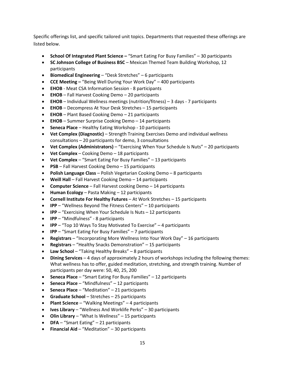Specific offerings list, and specific tailored unit topics. Departments that requested these offerings are listed below.

- **School Of Integrated Plant Science –** "Smart Eating For Busy Families" 30 participants
- **SC Johnson College of Business BSC**  Mexican Themed Team Building Workshop, 12 participants
- **Biomedical Engineering** "Desk Stretches" 6 participants
- **CCE Meeting –** "Being Well During Your Work Day" 400 participants
- **EHOB** Meat CSA Information Session 8 participants
- **EHOB**  Fall Harvest Cooking Demo 20 participants
- **EHOB**  Individual Wellness meetings (nutrition/fitness) 3 days 7 participants
- **EHOB**  Decompress At Your Desk Stretches 15 participants
- **EHOB**  Plant Based Cooking Demo 21 participants
- **EHOB**  Summer Surprise Cooking Demo 14 participants
- **Seneca Place**  Healthy Eating Workshop 10 participants
- **Vet Complex (Diagnostic)** Strength Training Exercises Demo and individual wellness consultations – 20 participants for demo, 3 consultations
- **Vet Complex (Administrators)**  "Exercising When Your Schedule Is Nuts" 20 participants
- **Vet Complex**  Cooking Demo 18 participants
- **Vet Complex**  "Smart Eating For Busy Families" 13 participants
- **PSB** Fall Harvest Cooking Demo 15 participants
- **Polish Language Class**  Polish Vegetarian Cooking Demo 8 participants
- **Weill Hall**  Fall Harvest Cooking Demo 14 participants
- **Computer Science**  Fall Harvest cooking Demo 14 participants
- **Human Ecology**  Pasta Making 12 participants
- **Cornell Institute For Healthy Futures**  At Work Stretches 15 participants
- **IPP**  "Wellness Beyond The Fitness Centers" 10 participants
- **IPP**  "Exercising When Your Schedule Is Nuts 12 participants
- **IPP**  "Mindfulness" 8 participants
- **IPP**  "Top 10 Ways To Stay Motivated To Exercise" 4 participants
- **IPP**  "Smart Eating For Busy Families" 7 participants
- **Registrars**  "Incorporating More Wellness Into Your Work Day" 16 participants
- **Registrars**  "Healthy Snacks Demonstration" 15 participants
- **Law School**  "Taking Healthy Breaks" 8 participants
- **Dining Services**  4 days of approximately 2 hours of workshops including the following themes: What wellness has to offer, guided meditation, stretching, and strength training. Number of participants per day were: 50, 40, 25, 200
- **Seneca Place**  "Smart Eating For Busy Families" 12 participants
- **Seneca Place**  "Mindfulness" 12 participants
- **Seneca Place**  "Meditation" 21 participants
- **Graduate School**  Stretches 25 participants
- **Plant Science**  "Walking Meetings" 4 participants
- **Ives Library** "Wellness And Worklife Perks" 30 participants
- **Olin Library**  "What Is Wellness" 15 participants
- **DFA**  "Smart Eating" 21 participants
- **Financial Aid**  "Meditation" 30 participants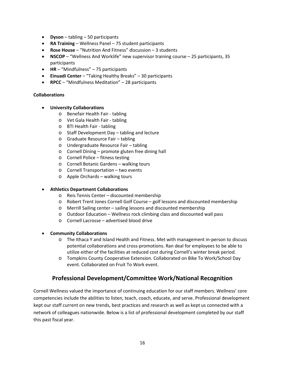- **Dyson**  tabling 50 participants
- **RA Training**  Wellness Panel 75 student participants
- **Rose House**  "Nutrition And Fitness" discussion 3 students
- **NSCOP** "Wellness And Worklife" new supervisor training course 25 participants, 35 participants
- **HR**  "Mindfulness" 75 participants
- **Einuadi Center** "Taking Healthy Breaks" 30 participants
- **RPCC** "Mindfulness Meditation" 28 participants

#### **Collaborations**

- **University Collaborations**
	- o Benefair Health Fair tabling
	- o Vet Gala Health Fair tabling
	- o BTI Health Fair tabling
	- o Staff Development Day tabling and lecture
	- o Graduate Resource Fair tabling
	- o Undergraduate Resource Fair tabling
	- o Cornell Dining promote gluten free dining hall
	- o Cornell Police fitness testing
	- o Cornell Botanic Gardens walking tours
	- o Cornell Transportation two events
	- o Apple Orchards walking tours

#### • **Athletics Department Collaborations**

- o Reis Tennis Center discounted membership
- o Robert Trent Jones Cornell Golf Course golf lessons and discounted membership
- o Merrill Sailing center sailing lessons and discounted membership
- o Outdoor Education Wellness rock climbing class and discounted wall pass
- o Cornell Lacrosse advertised blood drive
- **Community Collaborations**
	- o The Ithaca Y and Island Health and Fitness. Met with management in-person to discuss potential collaborations and cross-promotions. Ran deal for employees to be able to utilize either of the facilities at reduced cost during Cornell's winter break period.
	- o Tompkins County Cooperative Extension. Collaborated on Bike To Work/School Day event. Collaborated on Fruit To Work event.

## **Professional Development/Committee Work/National Recognition**

Cornell Wellness valued the importance of continuing education for our staff members. Wellness' core competencies include the abilities to listen, teach, coach, educate, and serve. Professional development kept our staff current on new trends, best practices and research as well as kept us connected with a network of colleagues nationwide. Below is a list of professional development completed by our staff this past fiscal year.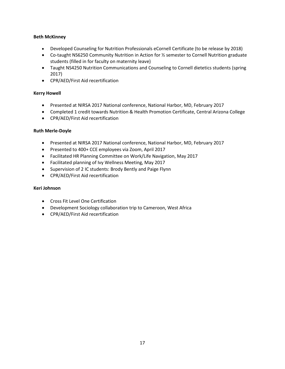#### **Beth McKinney**

- Developed Counseling for Nutrition Professionals eCornell Certificate (to be release by 2018)
- Co-taught NS6250 Community Nutrition in Action for ½ semester to Cornell Nutrition graduate students (filled in for faculty on maternity leave)
- Taught NS4250 Nutrition Communications and Counseling to Cornell dietetics students (spring 2017)
- CPR/AED/First Aid recertification

#### **Kerry Howell**

- Presented at NIRSA 2017 National conference, National Harbor, MD, February 2017
- Completed 1 credit towards Nutrition & Health Promotion Certificate, Central Arizona College
- CPR/AED/First Aid recertification

#### **Ruth Merle-Doyle**

- Presented at NIRSA 2017 National conference, National Harbor, MD, February 2017
- Presented to 400+ CCE employees via Zoom, April 2017
- Facilitated HR Planning Committee on Work/Life Navigation, May 2017
- Facilitated planning of Ivy Wellness Meeting, May 2017
- Supervision of 2 IC students: Brody Bently and Paige Flynn
- CPR/AED/First Aid recertification

#### **Keri Johnson**

- Cross Fit Level One Certification
- Development Sociology collaboration trip to Cameroon, West Africa
- CPR/AED/First Aid recertification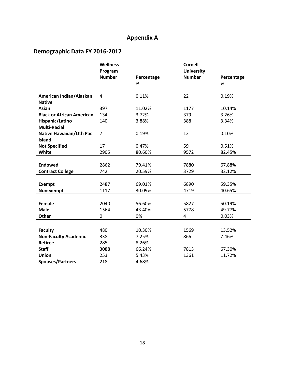## **Appendix A**

## **Demographic Data FY 2016-2017**

|                                  | <b>Wellness</b> |            | <b>Cornell</b>    |            |
|----------------------------------|-----------------|------------|-------------------|------------|
|                                  | Program         |            | <b>University</b> |            |
|                                  | <b>Number</b>   | Percentage | <b>Number</b>     | Percentage |
|                                  |                 | %          |                   | %          |
| American Indian/Alaskan          | $\overline{4}$  | 0.11%      | 22                | 0.19%      |
| <b>Native</b>                    |                 |            |                   |            |
| <b>Asian</b>                     | 397             | 11.02%     | 1177              | 10.14%     |
| <b>Black or African American</b> | 134             | 3.72%      | 379               | 3.26%      |
| Hispanic/Latino                  | 140             | 3.88%      | 388               | 3.34%      |
| <b>Multi-Racial</b>              |                 |            |                   |            |
| <b>Native Hawaiian/Oth Pac</b>   | $\overline{7}$  | 0.19%      | 12                | 0.10%      |
| <b>Island</b>                    |                 |            |                   |            |
| <b>Not Specified</b>             | 17              | 0.47%      | 59                | 0.51%      |
| White                            | 2905            | 80.60%     | 9572              | 82.45%     |
|                                  |                 |            |                   |            |
| <b>Endowed</b>                   | 2862            | 79.41%     | 7880              | 67.88%     |
| <b>Contract College</b>          | 742             | 20.59%     | 3729              | 32.12%     |
|                                  |                 |            |                   |            |
| <b>Exempt</b>                    | 2487            | 69.01%     | 6890              | 59.35%     |
| Nonexempt                        | 1117            | 30.09%     | 4719              | 40.65%     |
|                                  |                 |            |                   |            |
| Female                           | 2040            | 56.60%     | 5827              | 50.19%     |
| <b>Male</b>                      | 1564            | 43.40%     | 5778              | 49.77%     |
| Other                            | 0               | 0%         | 4                 | 0.03%      |
|                                  |                 |            |                   |            |
| <b>Faculty</b>                   | 480             | 10.30%     | 1569              | 13.52%     |
| <b>Non-Faculty Academic</b>      | 338             | 7.25%      | 866               | 7.46%      |
| <b>Retiree</b>                   | 285             | 8.26%      |                   |            |
| <b>Staff</b>                     | 3088            | 66.24%     | 7813              | 67.30%     |
| Union                            | 253             | 5.43%      | 1361              | 11.72%     |
| <b>Spouses/Partners</b>          | 218             | 4.68%      |                   |            |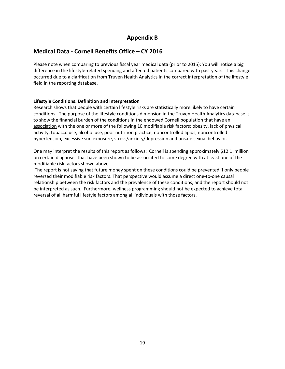## **Appendix B**

## **Medical Data - Cornell Benefits Office – CY 2016**

Please note when comparing to previous fiscal year medical data (prior to 2015): You will notice a big difference in the lifestyle-related spending and affected patients compared with past years. This change occurred due to a clarification from Truven Health Analytics in the correct interpretation of the lifestyle field in the reporting database.

#### **Lifestyle Conditions: Definition and Interpretation**

Research shows that people with certain lifestyle risks are statistically more likely to have certain conditions. The purpose of the lifestyle conditions dimension in the Truven Health Analytics database is to show the financial burden of the conditions in the endowed Cornell population that have an association with the one or more of the following 10 modifiable risk factors: obesity, lack of physical activity, tobacco use, alcohol use, poor nutrition practice, noncontrolled lipids, noncontrolled hypertension, excessive sun exposure, stress/anxiety/depression and unsafe sexual behavior.

One may interpret the results of this report as follows: Cornell is spending approximately \$12.1 million on certain diagnoses that have been shown to be associated to some degree with at least one of the modifiable risk factors shown above.

The report is not saying that future money spent on these conditions could be prevented if only people reversed their modifiable risk factors. That perspective would assume a direct one-to-one causal relationship between the risk factors and the prevalence of these conditions, and the report should not be interpreted as such. Furthermore, wellness programming should not be expected to achieve total reversal of all harmful lifestyle factors among all individuals with those factors.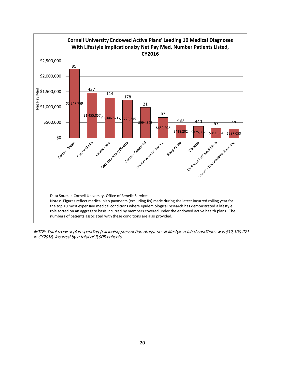

NOTE: Total medical plan spending (excluding prescription drugs) on all lifestyle related conditions was \$12,100,271 in CY2016, incurred by a total of 3,905 patients.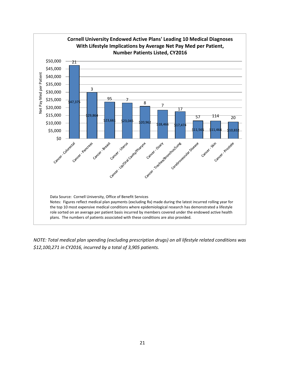

*NOTE: Total medical plan spending (excluding prescription drugs) on all lifestyle related conditions was \$12,100,271 in CY2016, incurred by a total of 3,905 patients.*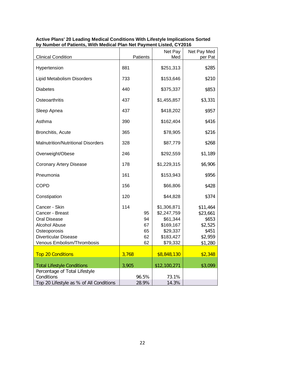| <b>Clinical Condition</b>                 | Patients  | Net Pay<br>Med             | Net Pay Med<br>per Pat |
|-------------------------------------------|-----------|----------------------------|------------------------|
| Hypertension                              | 881       | \$251,313                  | \$285                  |
| Lipid Metabolism Disorders                | 733       | \$153,646                  | \$210                  |
| <b>Diabetes</b>                           | 440       | \$375,337                  | \$853                  |
| Osteoarthritis                            | 437       | \$1,455,857                | \$3,331                |
| Sleep Apnea                               | 437       | \$418,202                  | \$957                  |
| Asthma                                    | 390       | \$162,404                  | \$416                  |
| Bronchitis, Acute                         | 365       | \$78,905                   | \$216                  |
| <b>Malnutrition/Nutritional Disorders</b> | 328       | \$87,779                   | \$268                  |
| Overweight/Obese                          | 246       | \$292,559                  | \$1,189                |
| <b>Coronary Artery Disease</b>            | 178       | \$1,229,315                | \$6,906                |
| Pneumonia                                 | 161       | \$153,943                  | \$956                  |
| <b>COPD</b>                               | 156       | \$66,806                   | \$428                  |
| Constipation                              | 120       | \$44,828                   | \$374                  |
| Cancer - Skin<br>Cancer - Breast          | 114<br>95 | \$1,306,871<br>\$2,247,759 | \$11,464<br>\$23,661   |
| <b>Oral Disease</b>                       | 94        | \$61,344                   | \$653                  |
| <b>Alcohol Abuse</b>                      | 67        | \$169,167                  | \$2,525                |
| Osteoporosis                              | 65        | \$29,337                   | \$451                  |
| <b>Diverticular Disease</b>               | 62        | \$183,427                  | \$2,959                |
| Venous Embolism/Thrombosis                | 62        | \$79,332                   | \$1,280                |
| <b>Top 20 Conditions</b>                  | 3,768     | \$8,848,130                | \$2,348                |
| <b>Total Lifestyle Conditions</b>         | 3,905     | \$12,100,271               | \$3,099                |
| Percentage of Total Lifestyle             |           |                            |                        |
| Conditions                                | 96.5%     | 73.1%                      |                        |
| Top 20 Lifestyle as % of All Conditions   | 28.9%     | 14.3%                      |                        |

#### **Active Plans' 20 Leading Medical Conditions With Lifestyle Implications Sorted by Number of Patients, With Medical Plan Net Payment Listed, CY2016**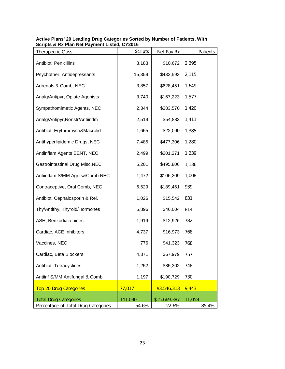| <b>Therapeutic Class</b>               | <b>Scripts</b> | Net Pay Rx   | Patients |
|----------------------------------------|----------------|--------------|----------|
| Antibiot, Penicillins                  | 3,183          | \$10,672     | 2,395    |
| Psychother, Antidepressants            | 15,359         | \$432,593    | 2,115    |
| Adrenals & Comb, NEC                   | 3,857          | \$628,451    | 1,649    |
| Analg/Antipyr, Opiate Agonists         | 3,740          | \$167,223    | 1,577    |
| Sympathomimetic Agents, NEC            | 2,344          | \$283,570    | 1,420    |
| Analg/Antipyr, Nonstr/Antiinflm        | 2,519          | \$54,883     | 1,411    |
| Antibiot, Erythromycn&Macrolid         | 1,655          | \$22,090     | 1,385    |
| Antihyperlipidemic Drugs, NEC          | 7,485          | \$477,306    | 1,280    |
| Antiinflam Agents EENT, NEC            | 2,499          | \$201,271    | 1,239    |
| <b>Gastrointestinal Drug Misc, NEC</b> | 5,201          | \$495,806    | 1,136    |
| Antiinflam S/MM Agnts&Comb NEC         | 1,472          | \$106,209    | 1,008    |
| Contraceptive, Oral Comb, NEC          | 6,529          | \$189,461    | 939      |
| Antibiot, Cephalosporin & Rel.         | 1,026          | \$15,542     | 831      |
| Thy/Antithy, Thyroid/Hormones          | 5,896          | \$46,004     | 814      |
| ASH, Benzodiazepines                   | 1,919          | \$12,926     | 782      |
| Cardiac, ACE Inhibitors                | 4,737          | \$16,973     | 768      |
| Vaccines, NEC                          | 776            | \$41,323     | 768      |
| Cardiac, Beta Blockers                 | 4,371          | \$67,979     | 757      |
| Antibiot, Tetracyclines                | 1,252          | \$85,302     | 748      |
| Antiinf S/MM, Antifungal & Comb        | 1,197          | \$190,729    | 730      |
| <b>Top 20 Drug Categories</b>          | 77,017         | \$3,546,313  | 9,443    |
| <b>Total Drug Categories</b>           | 141,030        | \$15,669,387 | 11,058   |
| Percentage of Total Drug Categories    | 54.6%          | 22.6%        | 85.4%    |

#### **Active Plans' 20 Leading Drug Categories Sorted by Number of Patients, With Scripts & Rx Plan Net Payment Listed, CY2016**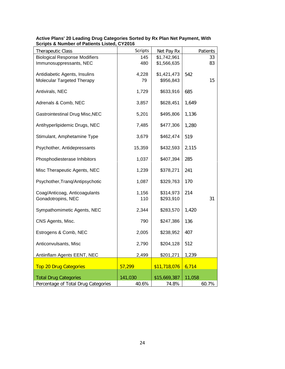| <b>Therapeutic Class</b>               | <b>Scripts</b> | Net Pay Rx   | Patients |
|----------------------------------------|----------------|--------------|----------|
| <b>Biological Response Modifiers</b>   | 145            | \$1,742,961  | 33       |
| Immunosuppressants, NEC                | 480            | \$1,566,635  | 83       |
| Antidiabetic Agents, Insulins          | 4,228          | \$1,421,473  | 542      |
| Molecular Targeted Therapy             | 79             | \$956,843    | 15       |
|                                        |                |              |          |
| Antivirals, NEC                        | 1,729          | \$633,916    | 685      |
| Adrenals & Comb, NEC                   | 3,857          | \$628,451    | 1,649    |
| <b>Gastrointestinal Drug Misc, NEC</b> | 5,201          | \$495,806    | 1,136    |
| Antihyperlipidemic Drugs, NEC          | 7,485          | \$477,306    | 1,280    |
| Stimulant, Amphetamine Type            | 3,679          | \$462,474    | 519      |
| Psychother, Antidepressants            | 15,359         | \$432,593    | 2,115    |
| Phosphodiesterase Inhibitors           | 1,037          | \$407,394    | 285      |
| Misc Therapeutic Agents, NEC           | 1,239          | \$378,271    | 241      |
| Psychother, Tranq/Antipsychotic        | 1,087          | \$329,763    | 170      |
| Coag/Anticoag, Anticoagulants          | 1,156          | \$314,973    | 214      |
| Gonadotropins, NEC                     | 110            | \$293,910    | 31       |
| Sympathomimetic Agents, NEC            | 2,344          | \$283,570    | 1,420    |
| CNS Agents, Misc.                      | 790            | \$247,386    | 136      |
| Estrogens & Comb, NEC                  | 2,005          | \$238,952    | 407      |
| Anticonvulsants, Misc                  | 2,790          | \$204,128    | 512      |
| Antiinflam Agents EENT, NEC            | 2,499          | \$201,271    | 1,239    |
| <b>Top 20 Drug Categories</b>          | 57,299         | \$11,718,076 | 6,714    |
| <b>Total Drug Categories</b>           | 141,030        | \$15,669,387 | 11,058   |
| Percentage of Total Drug Categories    | 40.6%          | 74.8%        | 60.7%    |

#### **Active Plans' 20 Leading Drug Categories Sorted by Rx Plan Net Payment, With Scripts & Number of Patients Listed, CY2016**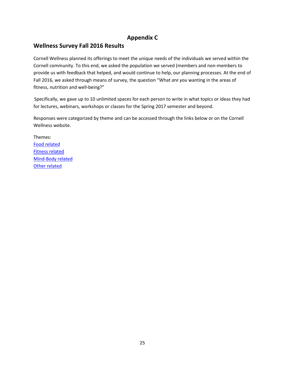## **Appendix C**

## **Wellness Survey Fall 2016 Results**

Cornell Wellness planned its offerings to meet the unique needs of the individuals we served within the Cornell community. To this end, we asked the population we served (members and non-members to provide us with feedback that helped, and would continue to help, our planning processes. At the end of Fall 2016, we asked through means of survey, the question "What *are you* wanting in the areas of fitness, nutrition and well-being?"

Specifically, we gave up to 10 unlimited spaces for each person to write in what topics or ideas they had for lectures, webinars, workshops or classes for the Spring 2017 semester and beyond.

Responses were categorized by theme and can be accessed through the links below or on the Cornell Wellness website.

Themes: [Food related](https://recreation.athletics.cornell.edu/sites/recreation.athletics.cornell.edu/files/documents/Wellness%20Survey%202016%20-%20food%20related.pdf) [Fitness related](https://recreation.athletics.cornell.edu/sites/recreation.athletics.cornell.edu/files/documents/Wellness%20Survey%202016%20-%20fitness%20related.pdf) [Mind-Body related](https://recreation.athletics.cornell.edu/sites/recreation.athletics.cornell.edu/files/documents/Wellness%20Survey%202016%20-%20mind%20body%20related.pdf) [Other related](https://recreation.athletics.cornell.edu/sites/recreation.athletics.cornell.edu/files/documents/Wellness%20Survey%202016%20-%20other%20related.pdf)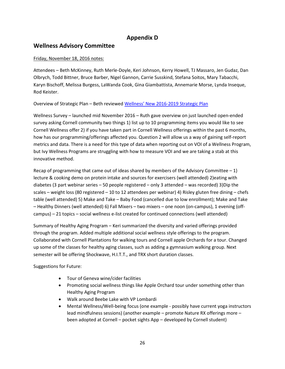## **Appendix D**

### **Wellness Advisory Committee**

#### Friday, November 18, 2016 notes:

Attendees – Beth McKinney, Ruth Merle-Doyle, Keri Johnson, Kerry Howell, TJ Massaro, Jen Gudaz, Dan Olbrych, Todd Bittner, Bruce Barber, Nigel Gannon, Carrie Susskind, Stefana Soitos, Mary Tabacchi, Karyn Bischoff, Melissa Burgess, LaWanda Cook, Gina Giambattista, Annemarie Morse, Lynda Inseque, Rod Keister.

Overview of Strategic Plan – Beth reviewed [Wellness' New 2016-2019 Strategic Plan](http://recreation.athletics.cornell.edu/sites/recreation.athletics.cornell.edu/files/documents/StrategicPlan2016-2019.pdf)

Wellness Survey – launched mid November 2016 – Ruth gave overview on just launched open-ended survey asking Cornell community two things 1) list up to 10 programming items you would like to see Cornell Wellness offer 2) if you have taken part in Cornell Wellness offerings within the past 6 months, how has our programming/offerings affected you. Question 2 will allow us a way of gaining self-report metrics and data. There is a need for this type of data when reporting out on VOI of a Wellness Program, but Ivy Wellness Programs are struggling with how to measure VOI and we are taking a stab at this innovative method.

Recap of programming that came out of ideas shared by members of the Advisory Committee  $-1$ ) lecture & cooking demo on protein intake and sources for exercisers (well attended) 2)eating with diabetes (3 part webinar series – 50 people registered – only 3 attended – was recorded) 3)Dip the scales – weight loss (80 registered – 10 to 12 attendees per webinar) 4) Risley gluten free dining – chefs table (well attended) 5) Make and Take – Baby Food (cancelled due to low enrollment); Make and Take – Healthy Dinners (well attended) 6) Fall Mixers – two mixers – one noon (on-campus), 1 evening (offcampus) – 21 topics – social wellness e-list created for continued connections (well attended)

Summary of Healthy Aging Program – Keri summarized the diversity and varied offerings provided through the program. Added multiple additional social wellness style offerings to the program. Collaborated with Cornell Plantations for walking tours and Cornell apple Orchards for a tour. Changed up some of the classes for healthy aging classes, such as adding a gymnasium walking group. Next semester will be offering Shockwave, H.I.T.T., and TRX short duration classes.

Suggestions for Future:

- Tour of Geneva wine/cider facilities
- Promoting social wellness things like Apple Orchard tour under something other than Healthy Aging Program
- Walk around Beebe Lake with VP Lombardi
- Mental Wellness/Well-being focus (one example possibly have current yoga instructors lead mindfulness sessions) (another example – promote Nature RX offerings more – been adopted at Cornell – pocket sights App – developed by Cornell student)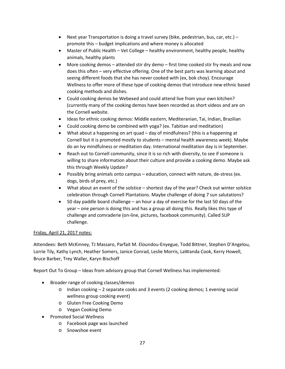- Next year Transportation is doing a travel survey (bike, pedestrian, bus, car, etc.) promote this – budget implications and where money is allocated
- Master of Public Health Vet College healthy environment, healthy people, healthy animals, healthy plants
- More cooking demos attended stir dry demo first time cooked stir fry meals and now does this often – very effective offering. One of the best parts was learning about and seeing different foods that she has never cooked with (ex, bok choy). Encourage Wellness to offer more of these type of cooking demos that introduce new ethnic based cooking methods and dishes.
- Could cooking demos be Webexed and could attend live from your own kitchen? (currently many of the cooking demos have been recorded as short videos and are on the Cornell website.
- Ideas for ethnic cooking demos: Middle eastern, Mediteranian, Tai, Indian, Brazilian
- Could cooking demo be combined with yoga? (ex. Tabitian and meditation)
- What about a happening on art quad day of mindfulness? (this is a happening at Cornell but it is promoted mostly to students – mental health awareness week). Maybe do an Ivy mindfulness or meditation day. International meditation day is in September.
- Reach out to Cornell community, since it is so rich with diversity, to see if someone is willing to share information about their culture and provide a cooking demo. Maybe ask this through Weekly Update?
- Possibly bring animals onto campus education, connect with nature, de-stress (ex. dogs, birds of prey, etc.)
- What about an event of the solstice shortest day of the year? Check out winter solstice celebration through Cornell Plantations. Maybe challenge of doing 7 sun salutations?
- 50 day paddle board challenge an hour a day of exercise for the last 50 days of the year – one person is doing this and has a group all doing this. Really likes this type of challenge and comraderie (on-line, pictures, facebook community). Called SUP challenge.

#### Friday, April 21, 2017 notes:

Attendees: Beth McKinney, TJ Massaro, Parfait M. Eloundou-Enyegue, Todd Bittner, Stephen D'Angelou, Lorrie Tily, Kathy Lynch, Heather Somers, Janice Conrad, Leslie Morris, LaWanda Cook, Kerry Howell, Bruce Barber, Trey Waller, Karyn Bischoff

Report Out To Group – Ideas from advisory group that Cornell Wellness has implemented:

- Broader range of cooking classes/demos
	- o Indian cooking 2 separate cooks and 3 events (2 cooking demos; 1 evening social wellness group cooking event)
	- o Gluten Free Cooking Demo
	- o Vegan Cooking Demo
- Promoted Social Wellness
	- o Facebook page was launched
	- o Snowshoe event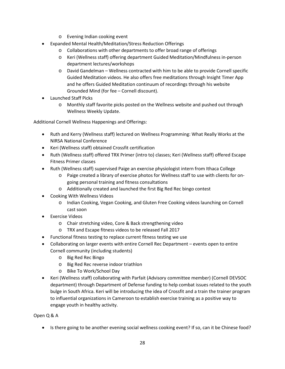- o Evening Indian cooking event
- Expanded Mental Health/Meditation/Stress Reduction Offerings
	- o Collaborations with other departments to offer broad range of offerings
	- o Keri (Wellness staff) offering department Guided Meditation/Mindfulness in-person department lectures/workshops
	- o David Gandelman Wellness contracted with him to be able to provide Cornell specific Guided Meditation videos. He also offers free meditations through Insight Timer App and he offers Guided Meditation continuum of recordings through his website Grounded Mind (for fee – Cornell discount).
- Launched Staff Picks
	- o Monthly staff favorite picks posted on the Wellness website and pushed out through Wellness Weekly Update.

Additional Cornell Wellness Happenings and Offerings:

- Ruth and Kerry (Wellness staff) lectured on Wellness Programming: What Really Works at the NIRSA National Conference
- Keri (Wellness staff) obtained Crossfit certification
- Ruth (Wellness staff) offered TRX Primer (intro to) classes; Keri (Wellness staff) offered Escape Fitness Primer classes
- Ruth (Wellness staff) supervised Paige an exercise physiologist intern from Ithaca College
	- o Paige created a library of exercise photos for Wellness staff to use with clients for ongoing personal training and fitness consultations
	- o Additionally created and launched the first Big Red Rec bingo contest
- Cooking With Wellness Videos
	- o Indian Cooking, Vegan Cooking, and Gluten Free Cooking videos launching on Cornell cast soon
- Exercise Videos
	- o Chair stretching video, Core & Back strengthening video
	- o TRX and Escape fitness videos to be released Fall 2017
- Functional fitness testing to replace current fitness testing we use
- Collaborating on larger events with entire Cornell Rec Department events open to entire Cornell community (including students)
	- o Big Red Rec Bingo
	- o Big Red Rec reverse indoor triathlon
	- o Bike To Work/School Day
- Keri (Wellness staff) collaborating with Parfait (Advisory committee member) (Cornell DEVSOC department) through Department of Defense funding to help combat issues related to the youth bulge in South Africa. Keri will be introducing the idea of Crossfit and a train the trainer program to influential organizations in Cameroon to establish exercise training as a positive way to engage youth in healthy activity.

Open Q & A

• Is there going to be another evening social wellness cooking event? If so, can it be Chinese food?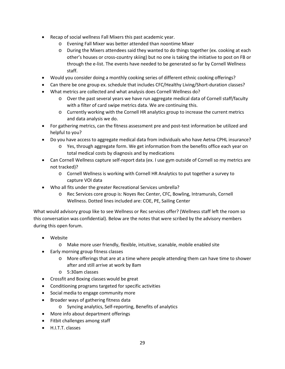- Recap of social wellness Fall Mixers this past academic year.
	- o Evening Fall Mixer was better attended than noontime Mixer
	- o During the Mixers attendees said they wanted to do things together (ex. cooking at each other's houses or cross-country skiing) but no one is taking the initiative to post on FB or through the e-list. The events have needed to be generated so far by Cornell Wellness staff.
- Would you consider doing a monthly cooking series of different ethnic cooking offerings?
- Can there be one group ex. schedule that includes CFC/Healthy Living/Short-duration classes?
- What metrics are collected and what analysis does Cornell Wellness do?
	- o Over the past several years we have run aggregate medical data of Cornell staff/faculty with a filter of card swipe metrics data. We are continuing this.
	- o Currently working with the Cornell HR analytics group to increase the current metrics and data analysis we do.
- For gathering metrics, can the fitness assessment pre and post-test information be utilized and helpful to you?
- Do you have access to aggregate medical data from individuals who have Aetna CPHL insurance?
	- o Yes, through aggregate form. We get information from the benefits office each year on total medical costs by diagnosis and by medications
- Can Cornell Wellness capture self-report data (ex. I use gym outside of Cornell so my metrics are not tracked)?
	- o Cornell Wellness is working with Cornell HR Analytics to put together a survey to capture VOI data
- Who all fits under the greater Recreational Services umbrella?
	- o Rec Services core group is: Noyes Rec Center, CFC, Bowling, Intramurals, Cornell Wellness. Dotted lines included are: COE, PE, Sailing Center

What would advisory group like to see Wellness or Rec services offer? (Wellness staff left the room so this conversation was confidential). Below are the notes that were scribed by the advisory members during this open forum.

- Website
	- o Make more user friendly, flexible, intuitive, scanable, mobile enabled site
- Early morning group fitness classes
	- o More offerings that are at a time where people attending them can have time to shower after and still arrive at work by 8am
	- o 5:30am classes
- Crossfit and Boxing classes would be great
- Conditioning programs targeted for specific activities
- Social media to engage community more
- Broader ways of gathering fitness data
	- o Syncing analytics, Self-reporting, Benefits of analytics
- More info about department offerings
- Fitbit challenges among staff
- H.I.T.T. classes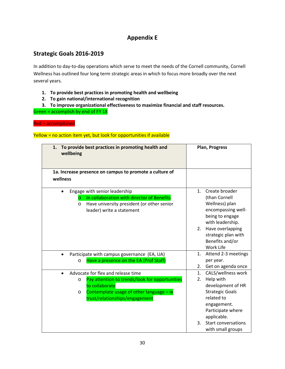## **Appendix E**

## **Strategic Goals 2016-2019**

In addition to day-to-day operations which serve to meet the needs of the Cornell community, Cornell Wellness has outlined four long term strategic areas in which to focus more broadly over the next several years.

- **1. To provide best practices in promoting health and wellbeing**
- **2. To gain national/international recognition**

**3. To improve organizational effectiveness to maximize financial and staff resources.** Green = accomplish by end of FY 18

Red = accomplished

Yellow = no action item yet, but look for opportunities if available

| To provide best practices in promoting health and<br>1.<br>wellbeing                                                                                                                           | Plan, Progress                                                                                                                                                                                  |
|------------------------------------------------------------------------------------------------------------------------------------------------------------------------------------------------|-------------------------------------------------------------------------------------------------------------------------------------------------------------------------------------------------|
| 1a. Increase presence on campus to promote a culture of<br>wellness                                                                                                                            |                                                                                                                                                                                                 |
| Engage with senior leadership<br>In collaboration with director of Benefits<br>$\Omega$<br>Have university president (or other senior<br>$\circ$<br>leader) write a statement                  | Create broader<br>1 <sub>1</sub><br>(than Cornell<br>Wellness) plan<br>encompassing well-<br>being to engage<br>with leadership.<br>2. Have overlapping                                         |
| Participate with campus governance (EA, UA)<br>$\bullet$                                                                                                                                       | strategic plan with<br>Benefits and/or<br>Work Life<br>Attend 2-3 meetings<br>1.                                                                                                                |
| Have a presence on the EA (Prof Staff)<br>$\circ$                                                                                                                                              | per year.<br>2.<br>Get on agenda once                                                                                                                                                           |
| Advocate for flex and release time<br>Pay attention to trends/look for opportunities<br>O<br>to collaborate<br>Contemplate usage of other language - ie<br>O<br>trust/relationships/engagement | CALS/wellness work<br>1.<br>Help with<br>2.<br>development of HR<br><b>Strategic Goals</b><br>related to<br>engagement.<br>Participate where<br>applicable.<br><b>Start conversations</b><br>3. |
|                                                                                                                                                                                                | with small groups                                                                                                                                                                               |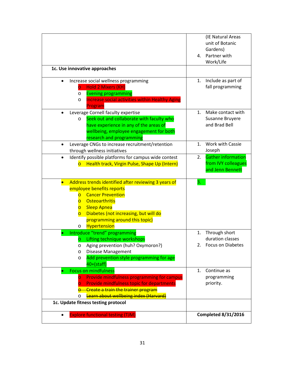|                                                                                                                                                                                                                                                                                                                                      | (IE Natural Areas<br>unit of Botanic<br>Gardens)<br>Partner with<br>4.<br>Work/Life |
|--------------------------------------------------------------------------------------------------------------------------------------------------------------------------------------------------------------------------------------------------------------------------------------------------------------------------------------|-------------------------------------------------------------------------------------|
| 1c. Use innovative approaches                                                                                                                                                                                                                                                                                                        |                                                                                     |
| Increase social wellness programming<br><b>Hold 2 Mixers (KH)</b><br>$\overline{O}$<br><b>Evening programming</b><br>O<br>Increase social activities within Healthy Aging<br>$\circ$<br>Program                                                                                                                                      | Include as part of<br>1.<br>fall programming                                        |
| Leverage Cornell faculty expertise<br>$\bullet$<br>Seek out and collaborate with faculty who<br>O<br>have experience in any of the areas of<br>wellbeing, employee engagement for both<br>research and programming                                                                                                                   | Make contact with<br>$\mathbf{1}$ .<br>Susanne Bruyere<br>and Brad Bell             |
| Leverage CNGs to increase recruitment/retention<br>through wellness initiatives                                                                                                                                                                                                                                                      | Work with Cassie<br>$\mathbf{1}$ .<br>Joseph                                        |
| Identify possible platforms for campus wide contest<br>$\bullet$<br>Health track, Virgin Pulse, Shape Up (Intern)                                                                                                                                                                                                                    | <b>Gather information</b><br>2.<br>from IVY colleagues<br>and Jenn Bennett          |
| Address trends identified after reviewing 3 years of<br>employee benefits reports<br><b>Cancer Prevention</b><br>$\overline{O}$<br><b>Osteoarthritis</b><br>$\overline{O}$<br><b>Sleep Apnea</b><br>$\overline{O}$<br>Diabetes (not increasing, but will do<br>$\overline{O}$<br>programming around this topic)<br>Hypertension<br>O | 3.                                                                                  |
| Introduce "trend" programming<br>Lifting technique workshops<br>O<br>Aging prevention (huh? Oxymoron?)<br>O<br><b>Disease Management</b><br>O<br>Add prevention style programming for age<br>O<br>$40+ (statf)$                                                                                                                      | Through short<br>1.<br>duration classes<br><b>Focus on Diabetes</b><br>2.           |
| <b>Focus on mindfulness</b><br>۰<br><b>Provide mindfulness programming for campus</b><br><b>Provide mindfulness topic for departments</b><br><b>Create a train the trainer program</b><br>Learn about wellbeing index (Harvard)<br>$\circ$<br>1c. Update fitness testing protocol                                                    | Continue as<br>1.<br>programming<br>priority.                                       |
| <b>Explore functional testing (TJM)</b>                                                                                                                                                                                                                                                                                              | <b>Completed 8/31/2016</b>                                                          |
|                                                                                                                                                                                                                                                                                                                                      |                                                                                     |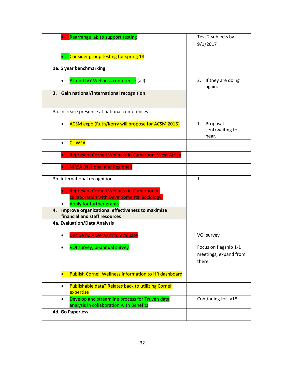| Rearrange lab to support testing                                                                                            | Test 2 subjects by                                      |
|-----------------------------------------------------------------------------------------------------------------------------|---------------------------------------------------------|
|                                                                                                                             | 9/1/2017                                                |
| Consider group testing for spring 18<br>$\bullet$                                                                           |                                                         |
| 1e. 5 year benchmarking                                                                                                     |                                                         |
| Attend IVY Wellness conference (all)                                                                                        | If they are doing<br>2.<br>again.                       |
| Gain national/international recognition<br>3.                                                                               |                                                         |
| 3a. Increase presence at national conferences                                                                               |                                                         |
| <b>ACSM expo (Ruth/Kerry will propose for ACSM 2016)</b>                                                                    | 1. Proposal<br>sent/waiting to<br>hear.                 |
| <b>CUWFA</b>                                                                                                                |                                                         |
| <b>Represent Cornell Wellness in Camaroon, West Africa</b>                                                                  |                                                         |
| <b>NIRSA (National and Regional)</b>                                                                                        |                                                         |
| 3b. International recognition                                                                                               | 1.                                                      |
| <b>Represent Cornell Wellness in Camaroon in</b><br>collaboration with Developmental Sociology.<br>Apply for further grants |                                                         |
| Improve organizational effectiveness to maximize<br>4.<br>financial and staff resources                                     |                                                         |
| 4a. Evaluation/Data Analysis                                                                                                |                                                         |
| Decide how we want to evaluate                                                                                              | VOI survey                                              |
| VOI survey, bi-annual survey                                                                                                | Focus on flagship 1-1<br>meetings, expand from<br>there |
| <b>Publish Cornell Wellness information to HR dashboard</b>                                                                 |                                                         |
| Publishable data? Relates back to utilizing Cornell<br>$\bullet$<br>expertise                                               |                                                         |
| Develop and streamline process for Truven data<br>analysis in collaboration with Benefits                                   | Continuing for fy18                                     |
| <b>4d. Go Paperless</b>                                                                                                     |                                                         |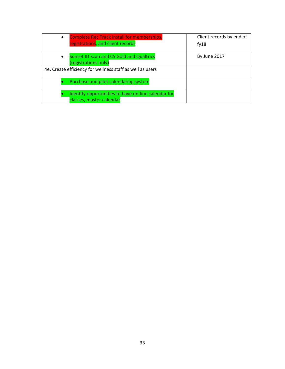| <b>Complete Rec Track install for memberships,</b><br>$\bullet$                      | Client records by end of |
|--------------------------------------------------------------------------------------|--------------------------|
| registrations, and client records                                                    | fy18                     |
| <b>Sunset ID Scan and CS Gold and Qualtrics</b><br>$\bullet$<br>(registrations only) | By June 2017             |
| 4e. Create efficiency for wellness staff as well as users                            |                          |
| Purchase and pilot calendaring system                                                |                          |
| Identify opportunities to have on-line calendar for<br>classes, master calendar      |                          |